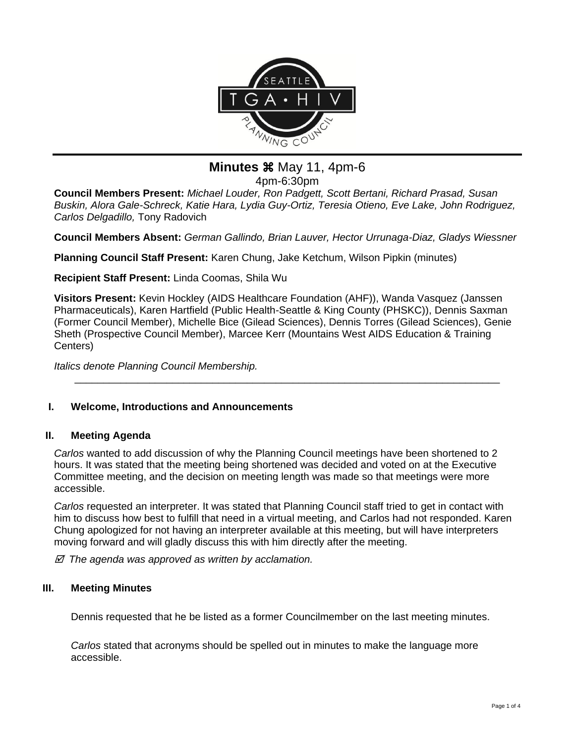

**Minutes**  $\frac{11}{20}$  **May 11, 4pm-6** 

4pm-6:30pm

**Council Members Present:** *Michael Louder, Ron Padgett, Scott Bertani, Richard Prasad, Susan Buskin, Alora Gale-Schreck, Katie Hara, Lydia Guy-Ortiz, Teresia Otieno, Eve Lake, John Rodriguez, Carlos Delgadillo,* Tony Radovich

**Council Members Absent:** *German Gallindo, Brian Lauver, Hector Urrunaga-Diaz, Gladys Wiessner*

**Planning Council Staff Present:** Karen Chung, Jake Ketchum, Wilson Pipkin (minutes)

**Recipient Staff Present:** Linda Coomas, Shila Wu

**Visitors Present:** Kevin Hockley (AIDS Healthcare Foundation (AHF)), Wanda Vasquez (Janssen Pharmaceuticals), Karen Hartfield (Public Health-Seattle & King County (PHSKC)), Dennis Saxman (Former Council Member), Michelle Bice (Gilead Sciences), Dennis Torres (Gilead Sciences), Genie Sheth (Prospective Council Member), Marcee Kerr (Mountains West AIDS Education & Training Centers)

\_\_\_\_\_\_\_\_\_\_\_\_\_\_\_\_\_\_\_\_\_\_\_\_\_\_\_\_\_\_\_\_\_\_\_\_\_\_\_\_\_\_\_\_\_\_\_\_\_\_\_\_\_\_\_\_\_\_\_\_\_\_\_\_\_\_\_\_\_\_\_\_\_\_

*Italics denote Planning Council Membership.* 

## **I. Welcome, Introductions and Announcements**

## **II. Meeting Agenda**

*Carlos* wanted to add discussion of why the Planning Council meetings have been shortened to 2 hours. It was stated that the meeting being shortened was decided and voted on at the Executive Committee meeting, and the decision on meeting length was made so that meetings were more accessible.

*Carlos* requested an interpreter. It was stated that Planning Council staff tried to get in contact with him to discuss how best to fulfill that need in a virtual meeting, and Carlos had not responded. Karen Chung apologized for not having an interpreter available at this meeting, but will have interpreters moving forward and will gladly discuss this with him directly after the meeting.

 *The agenda was approved as written by acclamation.*

## **III. Meeting Minutes**

Dennis requested that he be listed as a former Councilmember on the last meeting minutes.

*Carlos* stated that acronyms should be spelled out in minutes to make the language more accessible.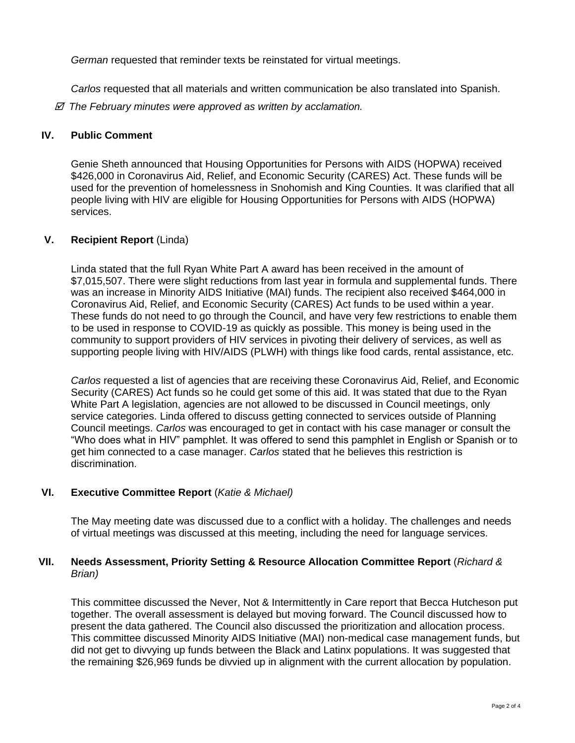*German* requested that reminder texts be reinstated for virtual meetings.

*Carlos* requested that all materials and written communication be also translated into Spanish.

 *The February minutes were approved as written by acclamation.*

### **IV. Public Comment**

Genie Sheth announced that Housing Opportunities for Persons with AIDS (HOPWA) received \$426,000 in Coronavirus Aid, Relief, and Economic Security (CARES) Act. These funds will be used for the prevention of homelessness in Snohomish and King Counties. It was clarified that all people living with HIV are eligible for Housing Opportunities for Persons with AIDS (HOPWA) services.

### **V. Recipient Report** (Linda)

Linda stated that the full Ryan White Part A award has been received in the amount of \$7,015,507. There were slight reductions from last year in formula and supplemental funds. There was an increase in Minority AIDS Initiative (MAI) funds. The recipient also received \$464,000 in Coronavirus Aid, Relief, and Economic Security (CARES) Act funds to be used within a year. These funds do not need to go through the Council, and have very few restrictions to enable them to be used in response to COVID-19 as quickly as possible. This money is being used in the community to support providers of HIV services in pivoting their delivery of services, as well as supporting people living with HIV/AIDS (PLWH) with things like food cards, rental assistance, etc.

*Carlos* requested a list of agencies that are receiving these Coronavirus Aid, Relief, and Economic Security (CARES) Act funds so he could get some of this aid. It was stated that due to the Ryan White Part A legislation, agencies are not allowed to be discussed in Council meetings, only service categories. Linda offered to discuss getting connected to services outside of Planning Council meetings. *Carlos* was encouraged to get in contact with his case manager or consult the "Who does what in HIV" pamphlet. It was offered to send this pamphlet in English or Spanish or to get him connected to a case manager. *Carlos* stated that he believes this restriction is discrimination.

## **VI. Executive Committee Report** (*Katie & Michael)*

The May meeting date was discussed due to a conflict with a holiday. The challenges and needs of virtual meetings was discussed at this meeting, including the need for language services.

## **VII. Needs Assessment, Priority Setting & Resource Allocation Committee Report** (*Richard & Brian)*

This committee discussed the Never, Not & Intermittently in Care report that Becca Hutcheson put together. The overall assessment is delayed but moving forward. The Council discussed how to present the data gathered. The Council also discussed the prioritization and allocation process. This committee discussed Minority AIDS Initiative (MAI) non-medical case management funds, but did not get to divvying up funds between the Black and Latinx populations. It was suggested that the remaining \$26,969 funds be divvied up in alignment with the current allocation by population.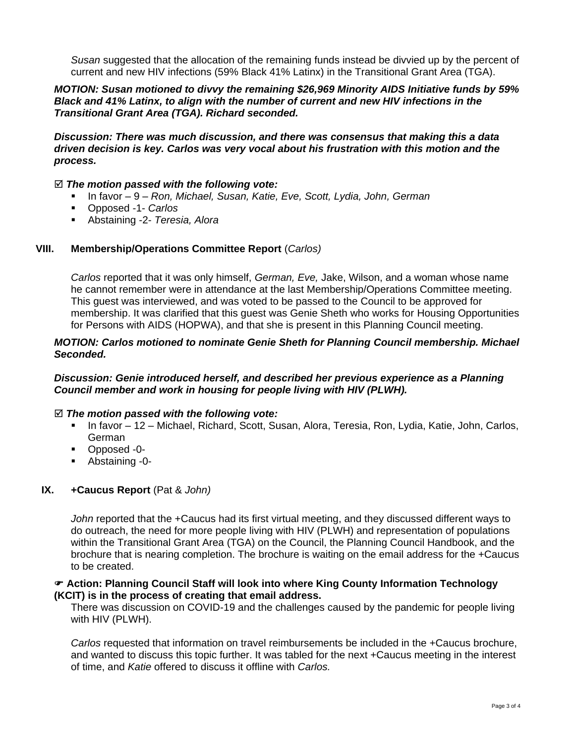*Susan* suggested that the allocation of the remaining funds instead be divvied up by the percent of current and new HIV infections (59% Black 41% Latinx) in the Transitional Grant Area (TGA).

### *MOTION: Susan motioned to divvy the remaining \$26,969 Minority AIDS Initiative funds by 59% Black and 41% Latinx, to align with the number of current and new HIV infections in the Transitional Grant Area (TGA). Richard seconded.*

*Discussion: There was much discussion, and there was consensus that making this a data driven decision is key. Carlos was very vocal about his frustration with this motion and the process.*

#### *The motion passed with the following vote:*

- In favor 9 *Ron, Michael, Susan, Katie, Eve, Scott, Lydia, John, German*
- Opposed -1- *Carlos*
- Abstaining -2- *Teresia, Alora*

### **VIII. Membership/Operations Committee Report** (*Carlos)*

*Carlos* reported that it was only himself, *German, Eve,* Jake, Wilson, and a woman whose name he cannot remember were in attendance at the last Membership/Operations Committee meeting. This guest was interviewed, and was voted to be passed to the Council to be approved for membership. It was clarified that this guest was Genie Sheth who works for Housing Opportunities for Persons with AIDS (HOPWA), and that she is present in this Planning Council meeting.

### *MOTION: Carlos motioned to nominate Genie Sheth for Planning Council membership. Michael Seconded.*

#### *Discussion: Genie introduced herself, and described her previous experience as a Planning Council member and work in housing for people living with HIV (PLWH).*

#### *The motion passed with the following vote:*

- In favor 12 Michael, Richard, Scott, Susan, Alora, Teresia, Ron, Lydia, Katie, John, Carlos, German
- Opposed -0-
- Abstaining -0-

## **IX. +Caucus Report** (Pat & *John)*

*John* reported that the +Caucus had its first virtual meeting, and they discussed different ways to do outreach, the need for more people living with HIV (PLWH) and representation of populations within the Transitional Grant Area (TGA) on the Council, the Planning Council Handbook, and the brochure that is nearing completion. The brochure is waiting on the email address for the +Caucus to be created.

### **Action: Planning Council Staff will look into where King County Information Technology (KCIT) is in the process of creating that email address.**

There was discussion on COVID-19 and the challenges caused by the pandemic for people living with HIV (PLWH).

*Carlos* requested that information on travel reimbursements be included in the +Caucus brochure, and wanted to discuss this topic further. It was tabled for the next +Caucus meeting in the interest of time, and *Katie* offered to discuss it offline with *Carlos.*